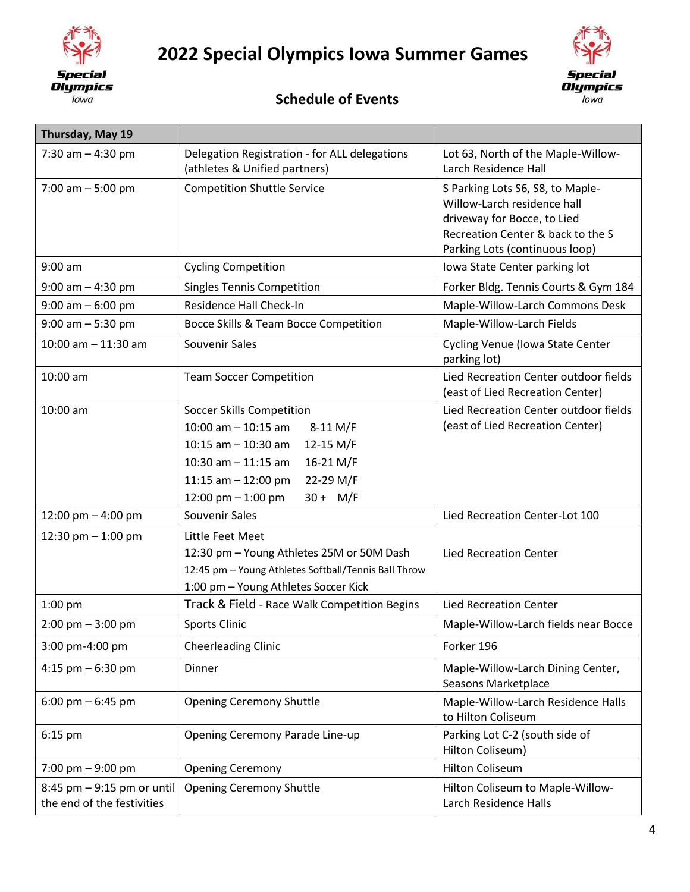

## **2022 Special Olympics Iowa Summer Games**



## **Schedule of Events**

| Thursday, May 19                                         |                                                                                                                                                                                                                         |                                                                                                                                                                       |
|----------------------------------------------------------|-------------------------------------------------------------------------------------------------------------------------------------------------------------------------------------------------------------------------|-----------------------------------------------------------------------------------------------------------------------------------------------------------------------|
| 7:30 am $-$ 4:30 pm                                      | Delegation Registration - for ALL delegations<br>(athletes & Unified partners)                                                                                                                                          | Lot 63, North of the Maple-Willow-<br>Larch Residence Hall                                                                                                            |
| 7:00 am $-5:00$ pm                                       | <b>Competition Shuttle Service</b>                                                                                                                                                                                      | S Parking Lots S6, S8, to Maple-<br>Willow-Larch residence hall<br>driveway for Bocce, to Lied<br>Recreation Center & back to the S<br>Parking Lots (continuous loop) |
| $9:00$ am                                                | <b>Cycling Competition</b>                                                                                                                                                                                              | Iowa State Center parking lot                                                                                                                                         |
| $9:00$ am $-4:30$ pm                                     | <b>Singles Tennis Competition</b>                                                                                                                                                                                       | Forker Bldg. Tennis Courts & Gym 184                                                                                                                                  |
| $9:00$ am $-6:00$ pm                                     | Residence Hall Check-In                                                                                                                                                                                                 | Maple-Willow-Larch Commons Desk                                                                                                                                       |
| $9:00$ am $-5:30$ pm                                     | Bocce Skills & Team Bocce Competition                                                                                                                                                                                   | Maple-Willow-Larch Fields                                                                                                                                             |
| $10:00$ am $-11:30$ am                                   | Souvenir Sales                                                                                                                                                                                                          | Cycling Venue (Iowa State Center<br>parking lot)                                                                                                                      |
| $10:00$ am                                               | <b>Team Soccer Competition</b>                                                                                                                                                                                          | Lied Recreation Center outdoor fields<br>(east of Lied Recreation Center)                                                                                             |
| 10:00 am                                                 | Soccer Skills Competition<br>$10:00$ am $-10:15$ am<br>8-11 M/F<br>12-15 M/F<br>10:15 am $-$ 10:30 am<br>10:30 am $-$ 11:15 am<br>16-21 M/F<br>22-29 M/F<br>11:15 am $-$ 12:00 pm<br>12:00 pm $-$ 1:00 pm<br>$30 + M/F$ | Lied Recreation Center outdoor fields<br>(east of Lied Recreation Center)                                                                                             |
| 12:00 pm - 4:00 pm                                       | Souvenir Sales                                                                                                                                                                                                          | Lied Recreation Center-Lot 100                                                                                                                                        |
| 12:30 pm $-$ 1:00 pm                                     | Little Feet Meet<br>12:30 pm - Young Athletes 25M or 50M Dash<br>12:45 pm - Young Athletes Softball/Tennis Ball Throw<br>1:00 pm - Young Athletes Soccer Kick                                                           | <b>Lied Recreation Center</b>                                                                                                                                         |
| $1:00$ pm                                                | Track & Field - Race Walk Competition Begins                                                                                                                                                                            | <b>Lied Recreation Center</b>                                                                                                                                         |
| $2:00 \text{ pm} - 3:00 \text{ pm}$                      | <b>Sports Clinic</b>                                                                                                                                                                                                    | Maple-Willow-Larch fields near Bocce                                                                                                                                  |
| 3:00 pm-4:00 pm                                          | <b>Cheerleading Clinic</b>                                                                                                                                                                                              | Forker 196                                                                                                                                                            |
| 4:15 pm $-$ 6:30 pm                                      | Dinner                                                                                                                                                                                                                  | Maple-Willow-Larch Dining Center,<br>Seasons Marketplace                                                                                                              |
| $6:00 \text{ pm} - 6:45 \text{ pm}$                      | <b>Opening Ceremony Shuttle</b>                                                                                                                                                                                         | Maple-Willow-Larch Residence Halls<br>to Hilton Coliseum                                                                                                              |
| $6:15$ pm                                                | Opening Ceremony Parade Line-up                                                                                                                                                                                         | Parking Lot C-2 (south side of<br>Hilton Coliseum)                                                                                                                    |
| 7:00 pm $-9:00$ pm                                       | <b>Opening Ceremony</b>                                                                                                                                                                                                 | <b>Hilton Coliseum</b>                                                                                                                                                |
| 8:45 pm - 9:15 pm or until<br>the end of the festivities | <b>Opening Ceremony Shuttle</b>                                                                                                                                                                                         | Hilton Coliseum to Maple-Willow-<br>Larch Residence Halls                                                                                                             |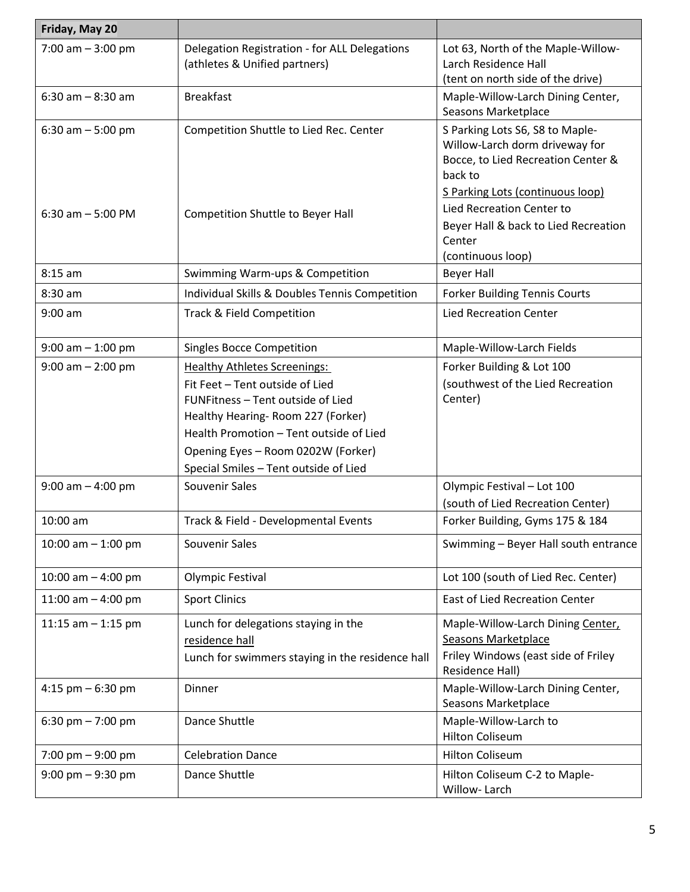| Friday, May 20                           |                                                                                                                                                                                                                                                                            |                                                                                                                                                                                                                                       |
|------------------------------------------|----------------------------------------------------------------------------------------------------------------------------------------------------------------------------------------------------------------------------------------------------------------------------|---------------------------------------------------------------------------------------------------------------------------------------------------------------------------------------------------------------------------------------|
| 7:00 am $-3:00$ pm                       | Delegation Registration - for ALL Delegations<br>(athletes & Unified partners)                                                                                                                                                                                             | Lot 63, North of the Maple-Willow-<br>Larch Residence Hall<br>(tent on north side of the drive)                                                                                                                                       |
| 6:30 am $-8:30$ am                       | <b>Breakfast</b>                                                                                                                                                                                                                                                           | Maple-Willow-Larch Dining Center,<br>Seasons Marketplace                                                                                                                                                                              |
| 6:30 am $-5:00$ pm<br>6:30 am $-5:00$ PM | Competition Shuttle to Lied Rec. Center<br>Competition Shuttle to Beyer Hall                                                                                                                                                                                               | S Parking Lots S6, S8 to Maple-<br>Willow-Larch dorm driveway for<br>Bocce, to Lied Recreation Center &<br>back to<br>S Parking Lots (continuous loop)<br>Lied Recreation Center to<br>Beyer Hall & back to Lied Recreation<br>Center |
|                                          |                                                                                                                                                                                                                                                                            | (continuous loop)                                                                                                                                                                                                                     |
| $8:15$ am                                | Swimming Warm-ups & Competition                                                                                                                                                                                                                                            | <b>Beyer Hall</b>                                                                                                                                                                                                                     |
| 8:30 am                                  | Individual Skills & Doubles Tennis Competition                                                                                                                                                                                                                             | <b>Forker Building Tennis Courts</b>                                                                                                                                                                                                  |
| $9:00$ am                                | Track & Field Competition                                                                                                                                                                                                                                                  | <b>Lied Recreation Center</b>                                                                                                                                                                                                         |
| $9:00$ am $-1:00$ pm                     | <b>Singles Bocce Competition</b>                                                                                                                                                                                                                                           | Maple-Willow-Larch Fields                                                                                                                                                                                                             |
| $9:00$ am $- 2:00$ pm                    | <b>Healthy Athletes Screenings:</b><br>Fit Feet - Tent outside of Lied<br>FUNFitness - Tent outside of Lied<br>Healthy Hearing-Room 227 (Forker)<br>Health Promotion - Tent outside of Lied<br>Opening Eyes - Room 0202W (Forker)<br>Special Smiles - Tent outside of Lied | Forker Building & Lot 100<br>(southwest of the Lied Recreation<br>Center)                                                                                                                                                             |
| $9:00$ am $-4:00$ pm                     | Souvenir Sales                                                                                                                                                                                                                                                             | Olympic Festival - Lot 100<br>(south of Lied Recreation Center)                                                                                                                                                                       |
| $10:00$ am                               | Track & Field - Developmental Events                                                                                                                                                                                                                                       | Forker Building, Gyms 175 & 184                                                                                                                                                                                                       |
| 10:00 am $-$ 1:00 pm                     | Souvenir Sales                                                                                                                                                                                                                                                             | Swimming - Beyer Hall south entrance                                                                                                                                                                                                  |
| 10:00 am $-$ 4:00 pm                     | Olympic Festival                                                                                                                                                                                                                                                           | Lot 100 (south of Lied Rec. Center)                                                                                                                                                                                                   |
| 11:00 am $-$ 4:00 pm                     | <b>Sport Clinics</b>                                                                                                                                                                                                                                                       | <b>East of Lied Recreation Center</b>                                                                                                                                                                                                 |
| 11:15 am $-$ 1:15 pm                     | Lunch for delegations staying in the<br>residence hall<br>Lunch for swimmers staying in the residence hall                                                                                                                                                                 | Maple-Willow-Larch Dining Center,<br>Seasons Marketplace<br>Friley Windows (east side of Friley<br>Residence Hall)                                                                                                                    |
| 4:15 pm $-6:30$ pm                       | Dinner                                                                                                                                                                                                                                                                     | Maple-Willow-Larch Dining Center,<br>Seasons Marketplace                                                                                                                                                                              |
| 6:30 pm $- 7:00$ pm                      | Dance Shuttle                                                                                                                                                                                                                                                              | Maple-Willow-Larch to<br><b>Hilton Coliseum</b>                                                                                                                                                                                       |
| 7:00 pm $-9:00$ pm                       | <b>Celebration Dance</b>                                                                                                                                                                                                                                                   | <b>Hilton Coliseum</b>                                                                                                                                                                                                                |
| $9:00$ pm $-9:30$ pm                     | Dance Shuttle                                                                                                                                                                                                                                                              | Hilton Coliseum C-2 to Maple-<br>Willow-Larch                                                                                                                                                                                         |